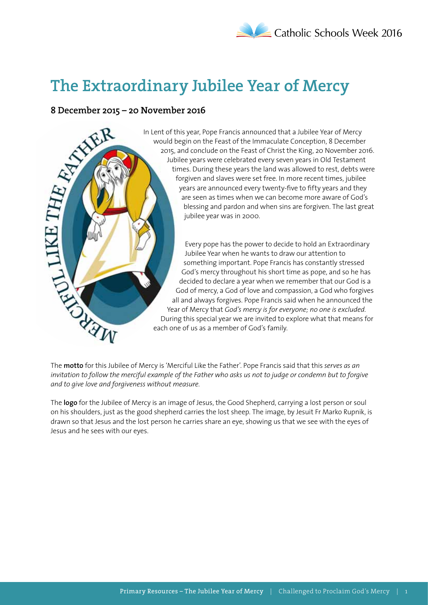# **The Extraordinary Jubilee Year of Mercy**



In Lent of this year, Pope Francis announced that a Jubilee Year of Mercy would begin on the Feast of the Immaculate Conception, 8 December 2015, and conclude on the Feast of Christ the King, 20 November 2016. Jubilee years were celebrated every seven years in Old Testament times. During these years the land was allowed to rest, debts were forgiven and slaves were set free. In more recent times, jubilee years are announced every twenty-five to fifty years and they are seen as times when we can become more aware of God's blessing and pardon and when sins are forgiven. The last great jubilee year was in 2000.

Every pope has the power to decide to hold an Extraordinary Jubilee Year when he wants to draw our attention to something important. Pope Francis has constantly stressed God's mercy throughout his short time as pope, and so he has decided to declare a year when we remember that our God is a God of mercy, a God of love and compassion, a God who forgives all and always forgives. Pope Francis said when he announced the Year of Mercy that *God's mercy is for everyone; no one is excluded*. During this special year we are invited to explore what that means for each one of us as a member of God's family.

The **motto** for this Jubilee of Mercy is 'Merciful Like the Father'. Pope Francis said that this *serves as an invitation to follow the merciful example of the Father who asks us not to judge or condemn but to forgive and to give love and forgiveness without measure*.

The **logo** for the Jubilee of Mercy is an image of Jesus, the Good Shepherd, carrying a lost person or soul on his shoulders, just as the good shepherd carries the lost sheep. The image, by Jesuit Fr Marko Rupnik, is drawn so that Jesus and the lost person he carries share an eye, showing us that we see with the eyes of Jesus and he sees with our eyes.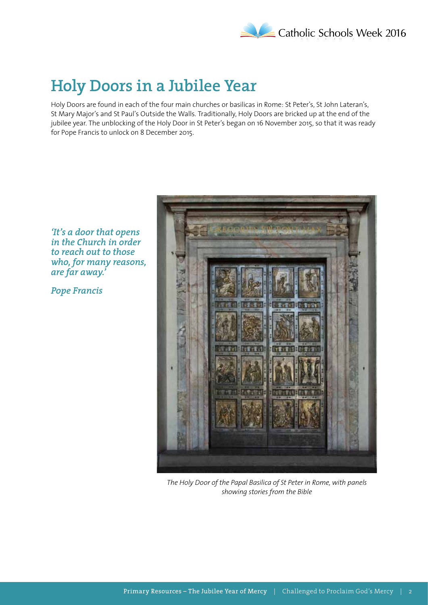

### **Holy Doors in a Jubilee Year**

Holy Doors are found in each of the four main churches or basilicas in Rome: St Peter's, St John Lateran's, St Mary Major's and St Paul's Outside the Walls. Traditionally, Holy Doors are bricked up at the end of the jubilee year. The unblocking of the Holy Door in St Peter's began on 16 November 2015, so that it was ready for Pope Francis to unlock on 8 December 2015.

### *'It's a door that opens in the Church in order to reach out to those who, for many reasons, are far away.'*

*Pope Francis*



*The Holy Door of the Papal Basilica of St Peter in Rome, with panels showing stories from the Bible*